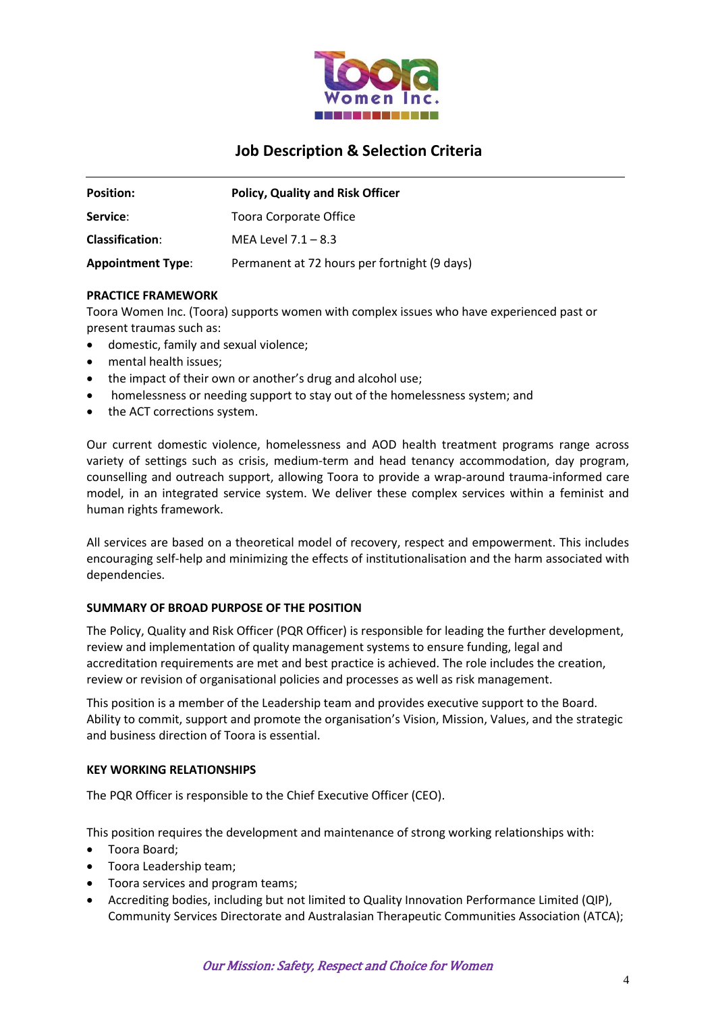

# **Job Description & Selection Criteria**

| <b>Position:</b>         | <b>Policy, Quality and Risk Officer</b>      |
|--------------------------|----------------------------------------------|
| Service:                 | Toora Corporate Office                       |
| <b>Classification:</b>   | MEA Level $7.1 - 8.3$                        |
| <b>Appointment Type:</b> | Permanent at 72 hours per fortnight (9 days) |

## **PRACTICE FRAMEWORK**

Toora Women Inc. (Toora) supports women with complex issues who have experienced past or present traumas such as:

- domestic, family and sexual violence;
- mental health issues;
- the impact of their own or another's drug and alcohol use;
- homelessness or needing support to stay out of the homelessness system; and
- the ACT corrections system.

Our current domestic violence, homelessness and AOD health treatment programs range across variety of settings such as crisis, medium-term and head tenancy accommodation, day program, counselling and outreach support, allowing Toora to provide a wrap-around trauma-informed care model, in an integrated service system. We deliver these complex services within a feminist and human rights framework.

All services are based on a theoretical model of recovery, respect and empowerment. This includes encouraging self-help and minimizing the effects of institutionalisation and the harm associated with dependencies.

#### **SUMMARY OF BROAD PURPOSE OF THE POSITION**

The Policy, Quality and Risk Officer (PQR Officer) is responsible for leading the further development, review and implementation of quality management systems to ensure funding, legal and accreditation requirements are met and best practice is achieved. The role includes the creation, review or revision of organisational policies and processes as well as risk management.

This position is a member of the Leadership team and provides executive support to the Board. Ability to commit, support and promote the organisation's Vision, Mission, Values, and the strategic and business direction of Toora is essential.

#### **KEY WORKING RELATIONSHIPS**

The PQR Officer is responsible to the Chief Executive Officer (CEO).

This position requires the development and maintenance of strong working relationships with:

- Toora Board;
- Toora Leadership team;
- Toora services and program teams;
- Accrediting bodies, including but not limited to Quality Innovation Performance Limited (QIP), Community Services Directorate and Australasian Therapeutic Communities Association (ATCA);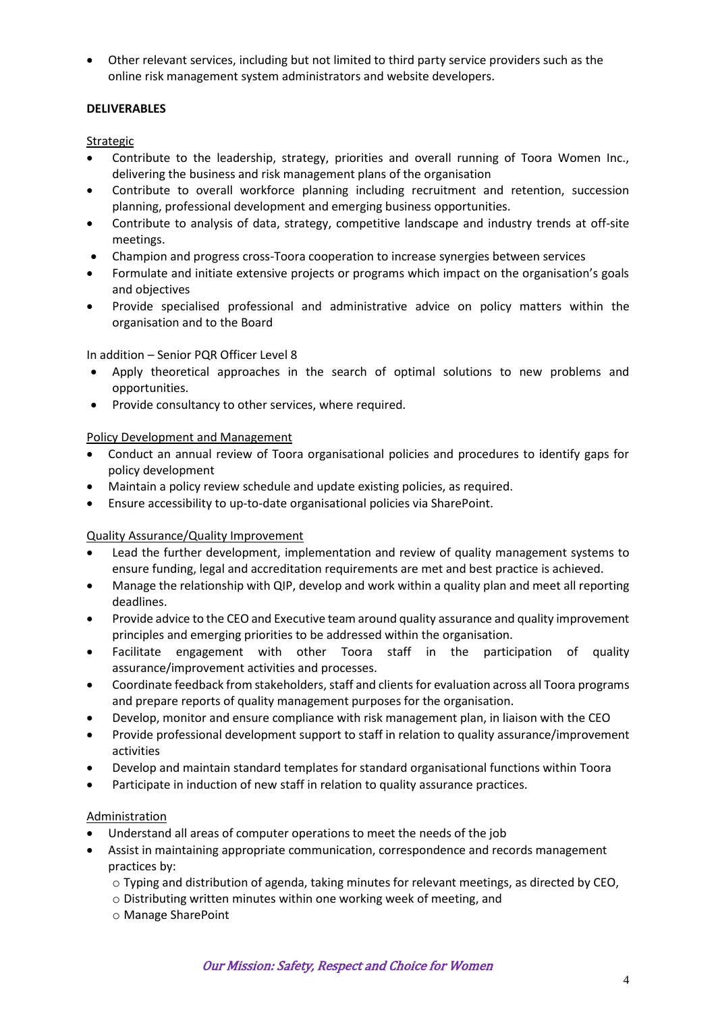• Other relevant services, including but not limited to third party service providers such as the online risk management system administrators and website developers.

## **DELIVERABLES**

## Strategic

- Contribute to the leadership, strategy, priorities and overall running of Toora Women Inc., delivering the business and risk management plans of the organisation
- Contribute to overall workforce planning including recruitment and retention, succession planning, professional development and emerging business opportunities.
- Contribute to analysis of data, strategy, competitive landscape and industry trends at off-site meetings.
- Champion and progress cross-Toora cooperation to increase synergies between services
- Formulate and initiate extensive projects or programs which impact on the organisation's goals and objectives
- Provide specialised professional and administrative advice on policy matters within the organisation and to the Board

In addition – Senior PQR Officer Level 8

- Apply theoretical approaches in the search of optimal solutions to new problems and opportunities.
- Provide consultancy to other services, where required.

## Policy Development and Management

- Conduct an annual review of Toora organisational policies and procedures to identify gaps for policy development
- Maintain a policy review schedule and update existing policies, as required.
- Ensure accessibility to up-to-date organisational policies via SharePoint.

#### Quality Assurance/Quality Improvement

- Lead the further development, implementation and review of quality management systems to ensure funding, legal and accreditation requirements are met and best practice is achieved.
- Manage the relationship with QIP, develop and work within a quality plan and meet all reporting deadlines.
- Provide advice to the CEO and Executive team around quality assurance and quality improvement principles and emerging priorities to be addressed within the organisation.
- Facilitate engagement with other Toora staff in the participation of quality assurance/improvement activities and processes.
- Coordinate feedback from stakeholders, staff and clients for evaluation across all Toora programs and prepare reports of quality management purposes for the organisation.
- Develop, monitor and ensure compliance with risk management plan, in liaison with the CEO
- Provide professional development support to staff in relation to quality assurance/improvement activities
- Develop and maintain standard templates for standard organisational functions within Toora
- Participate in induction of new staff in relation to quality assurance practices.

#### Administration

- Understand all areas of computer operations to meet the needs of the job
- Assist in maintaining appropriate communication, correspondence and records management practices by:
	- $\circ$  Typing and distribution of agenda, taking minutes for relevant meetings, as directed by CEO,
	- o Distributing written minutes within one working week of meeting, and
	- o Manage SharePoint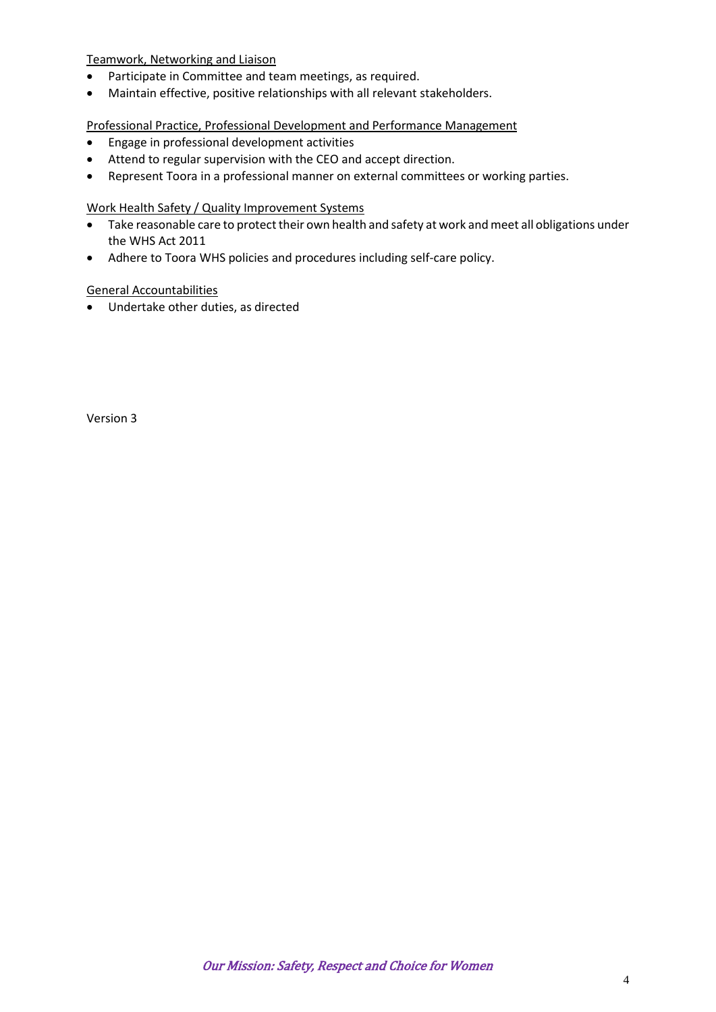Teamwork, Networking and Liaison

- Participate in Committee and team meetings, as required.
- Maintain effective, positive relationships with all relevant stakeholders.

Professional Practice, Professional Development and Performance Management

- Engage in professional development activities
- Attend to regular supervision with the CEO and accept direction.
- Represent Toora in a professional manner on external committees or working parties.

Work Health Safety / Quality Improvement Systems

- Take reasonable care to protect their own health and safety at work and meet all obligations under the WHS Act 2011
- Adhere to Toora WHS policies and procedures including self-care policy.

General Accountabilities

• Undertake other duties, as directed

Version 3